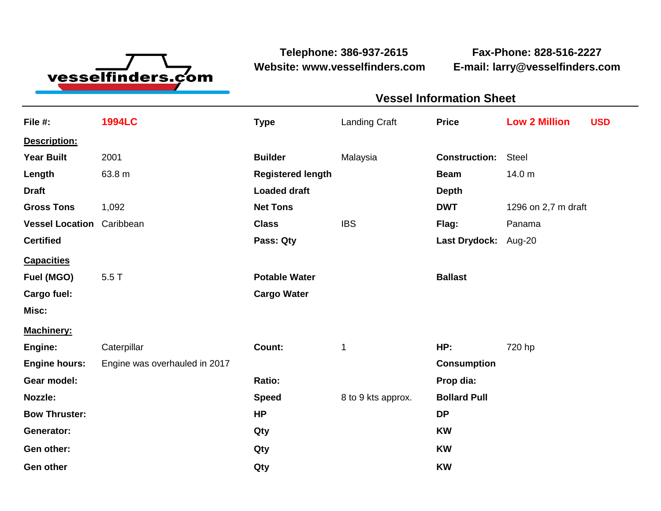

**Website: www.vesselfinders.com E-mail: larry@vesselfinders.com**

**Telephone: 386-937-2615 Fax-Phone: 828-516-2227**

|                                                 | <b>Vessel Information Sheet</b> |                                              |  |
|-------------------------------------------------|---------------------------------|----------------------------------------------|--|
|                                                 |                                 | Landing Craft <b>Price Low 2 Million USD</b> |  |
|                                                 |                                 |                                              |  |
| <b>Builder</b> Malaysia                         | <b>Construction:</b> Steel      |                                              |  |
| <b>Registered length</b><br><b>Loaded draft</b> |                                 | <b>Beam</b> 14.0 m                           |  |
| <b>Net Tons</b>                                 |                                 | <b>DWT</b> 1296 on 2,7 m draft               |  |
| Class                                           |                                 | Flag: Panama                                 |  |
| Pass: Qty                                       |                                 | Last Drydock: Aug-20                         |  |
| <b>Potable Water</b>                            | <b>Ballast</b>                  |                                              |  |
| <b>Cargo Water</b>                              |                                 |                                              |  |
|                                                 |                                 |                                              |  |
|                                                 |                                 |                                              |  |
| <b>Count:</b>                                   | <b>Consumption</b>              | <b>HP:</b> 720 hp                            |  |
|                                                 | Prop dia:                       |                                              |  |
| Speed                                           | 8 to 9 kts approx. Bollard Pull |                                              |  |
|                                                 |                                 |                                              |  |
|                                                 |                                 |                                              |  |

**Gen other Qty KW**